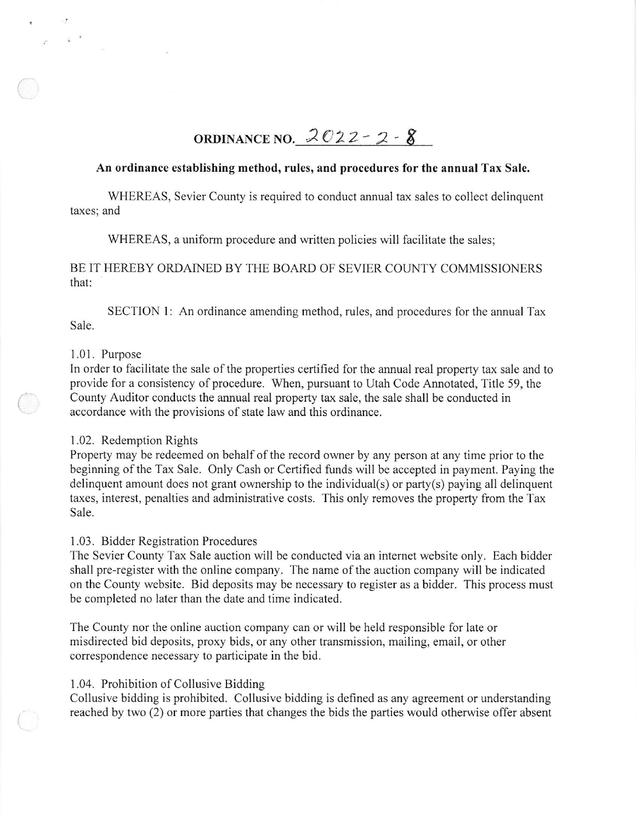# ORDINANCE NO.  $2022 - 2 - 8$

## An ordinance establishing method, rules, and procedures for the annual Tax Sale.

WHEREAS, Sevier County is required to conduct annual tax sales to collect delinquent taxes; and

WHEREAS, a uniform procedure and written policies will facilitate the sales;

# BE IT HEREBY ORDAINED BY THE BOARD OF SEVIER COUNTY COMMISSIONERS that:

SECTION 1: An ordinance amending method, rules, and procedures for the annual Tax Sale.

#### I .01. Purpose

t

In order to facilitate the sale of the properties certified for the annual real property tax sale and to provide for a consistency of procedure. When, pursuant to Utah Code Annotated, Title 59, the County Auditor conducts the annual real property tax sale, the sale shall be conducted in accordance with the provisions of state law and this ordinance.

# I .02. Redemption Rights

Property may be redeemed on behalf of the record owner by any person at any time prior to the beginning of the Tax Sale. Only Cash or Certified funds will be accepted in payment. Paying the delinquent amount does not grant ownership to the individual(s) or party(s) paying all delinquent taxes, interest, penalties and administrative costs. This only removes the property from the Tax Sale.

#### I .03. Bidder Registration Procedures

The Sevier County Tax Sale auction will be conducted via an internet website only. Each bidder shall pre-register with the online company. The name of the auction company will be indicated on the County website. Bid deposits may be necessary to register as a bidder. This process must be completed no later than the date and time indicated.

The County nor the online auction company can or will be held responsible for late or misdirected bid deposits, proxy bids, or any other transmission, mailing, email, or other correspondence necessary to participate in the bid.

#### <sup>1</sup>.04. Prohibition of Collusive Bidding

Collusive bidding is prohibited. Collusive bidding is defined as any agreement or understanding reached by two (2) or more parties that changes the bids the parties would otherwise offer absent